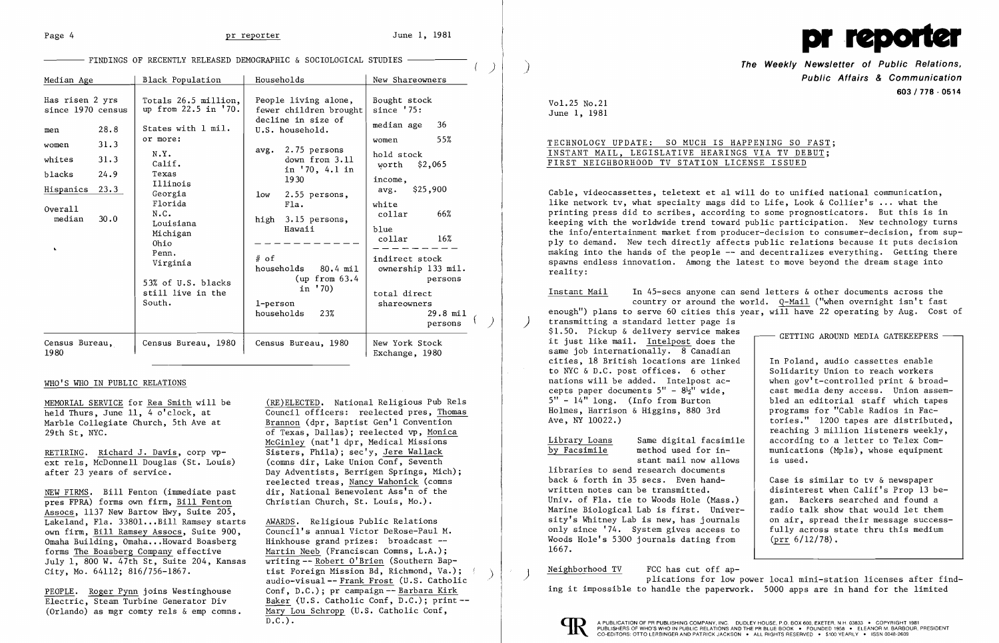

| Median Age                                                                                                             |                                              | Black Population                                                                                                                                                                                                                   | Households                                                                                                                                                                                                                                                                      | New Shareowners                                                                                                                                                                                                                            |
|------------------------------------------------------------------------------------------------------------------------|----------------------------------------------|------------------------------------------------------------------------------------------------------------------------------------------------------------------------------------------------------------------------------------|---------------------------------------------------------------------------------------------------------------------------------------------------------------------------------------------------------------------------------------------------------------------------------|--------------------------------------------------------------------------------------------------------------------------------------------------------------------------------------------------------------------------------------------|
| Has risen 2 yrs<br>since 1970 census<br>men<br>women<br>whites<br>blacks<br>Hispanics<br>$0$ vera $11$<br>median<br>v. | 28.8<br>31.3<br>31.3<br>24.9<br>23.3<br>30.0 | Totals 26.5 million,<br>up from 22.5 in '70.<br>States with 1 mil.<br>or more:<br>N.Y.<br>$Calif$ .<br>Texas<br>Illinois<br>Georgia<br>Florida<br>N.C.<br>Louisiana<br>Michigan<br>Ohio<br>Penn.<br>Virginia<br>53% of U.S. blacks | People living alone,<br>fewer children brought<br>decline in size of<br>U.S. household.<br>2.75 persons<br>avg.<br>down from 3.11<br>in '70, 4.1 in<br>1930<br>1ow<br>$2.55$ persons,<br>F1a.<br>high 3.15 persons,<br>Hawaii<br>$#$ of<br>households 80.4 mil<br>(up from 63.4 | Bought stock<br>since $'75:$<br>36<br>median age<br>55%<br>women<br>hold stock<br>\$2,065<br>worth<br>income,<br>\$25,900<br>avg.<br>white<br>66%<br>collar<br>blue<br>$16\%$<br>collar<br>indirect stock<br>ownership 133 mil.<br>persons |
|                                                                                                                        |                                              | still live in the<br>South.                                                                                                                                                                                                        | in '70)<br>1-person<br>households<br>23%                                                                                                                                                                                                                                        | total direct<br>shareowners<br>$29.8$ mil<br>persons                                                                                                                                                                                       |
| Census Bureau,<br>1980                                                                                                 |                                              | Census Bureau, 1980                                                                                                                                                                                                                | Census Bureau, 1980                                                                                                                                                                                                                                                             | New York Stock<br>Exchange, 1980                                                                                                                                                                                                           |

AWARDS. Religious Public Relations Council's annual Victor DeRose-Paul M. Hinkhouse grand prizes: broadcast- Martin Neeb (Franciscan Comns, L.A.); writing -- Robert 0' Brien (Southern Baptist Foreign Mission Bd, Richmond, Va.); audio-visual-- Frank Frost (U. S. Catholic Conf, D.C.); pr campaign -- Barbara Kirk Baker (U.S. Catholic Conf, D.C.); print- Mary Lou Schropp (U.S. Catholic Conf,  $D.C.$ ).

)

)

RETIRING. Richard J. Davis, corp vpext rels, McDonnell Douglas (St. Louis) after 23 years of service.

MEMORIAL SERVICE for Rea Smith will be held Thurs, June 11, 4 o'clock, at Marble Collegiate Church, 5th Ave at 29th St, NYC.

The Weekly Newsletter of Public Relations, Public Affairs & Communication 603/778 - 0514

NEW FIRMS. Bill Fenton (immediate past pres FPRA) forms own firm, Bill Fenton Assocs, 1137 New Bartow Hwy, Suite 205, Lakeland, Fla. 33801...Bill Ramsey starts own firm, Bill Ramsey Assocs, Suite 900, Omaha Building, Omaha... Howard Boasberg forms The Boasberg Company effective July 1, 800 W. 47th St, Suite 204, Kansas City, Mo. 64112; 816/756-1867.

## WHO'S WHO IN PUBLIC RELATIONS

PEOPLE. Roger Pynn joins Westinghouse Electric, Steam Turbine Generator Div (Orlando) as mgr comty rels & emp comns.

(RE)ELECTED. National Religious Pub Rels Council officers: reelected pres, Thomas Brannon (dpr, Baptist Gen'l Convention of Texas, Dallas); reelected vp, Monica McGinley (nat'l dpr, Medical Missions Sisters, Phila); sec'y, Jere Wallack (comns dir, Lake Union Conf, Seventh Day Adventists, Berrigen Springs, Mich); reelected treas, Nancy Wahonick (comns dir, National Benevolent Ass'n of the Christian Church, St. Louis, Mo.).

)

- FINDINGS OF RECENTLY RELEASED DEMOGRAPHIC & SOCIOLOGICAL STUDIES

Vo1.25 No.21 June 1, 1981

## TECHNOLOGY UPDATE: SO MUCH IS HAPPENING SO FAST; INSTANT MAIL, LEGISLATIVE HEARINGS VIA TV DEBUT; FIRST NEIGHBORHOOD TV STATION LICENSE ISSUED

Cable, videocassettes, teletext et al will do to unified national communication, like network tv, what specialty mags did to Life, Look & Collier's ... what the printing press did to scribes, according to some prognosticators. But this is in keeping with the worldwide trend toward public participation. New technology turns the info/entertainment market from producer-decision to consumer-decision, from supply to demand. New tech directly affects public relations because it puts decision making into the hands of the people  $-\text{-}$  and decentralizes everything. Getting there spawns endless innovation. Among the latest to move beyond the dream stage into reality:

Instant Mail In 45-secs anyone can send letters & other documents across the country or around the world. Q-Mail ("when overnight isn't fast enough") plans to serve 60 cities this year, will have 22 operating by Aug. Cost of ) transmitting a standard letter page is  $$1.50$ . Pickup & delivery service makes  $\overline{\phantom{0}}$  GETTING AROUND MEDIA GATEKEEPERS same job internationally.  $8$  Canadian cities, 18 British locations are linked In Poland, audio cassettes enable to NYC & D.C. post offices. 6 other  $\begin{array}{c|c} \text{Solidarity Union to reach workers} \\ \text{nations will be added. Intelpost ac-} \\ \text{when gov't-controlled print & broad-} \end{array}$ nations will be added. Intelpost ac-<br>cepts paper documents 5" -  $8\frac{1}{2}$ " wide.<br>cast media deny access. Union assemcepts paper documents  $5'' - 8\frac{1}{2}''$  wide,<br> $5'' - 14''$  long. (Info from Burton bled an editorial staff which tapes<br>programs for "Cable Radios in Fac-Holmes, Harrison & Higgins, 880 3rd<br>Ave, NY 10022.) tories." 1200 tapes are distributed, reaching 3 million listeners weekly, Library Loans Same digital facsimile | according to a letter to Telex Com-<br>by Facsimile method used for in- | munications (Mpls), whose equipment munications (Mpls), whose equipment stant mail now allows is used. libraries to send research documents back & forth in 35 secs. Even hand-<br>written notes can be transmitted. Case is similar to tv & newspaper disinterest when Calif's Prop 13 be-<br>gan. Backers searched and found a Univ. of Fla. tie to Woods Hole (Mass.) | gan. Backers searched and found a<br>Marine Biological Lab is first. Univer- | radio talk show that would let them Marine Biological Lab is first. University's Whitney Lab is new, has journals (on air, spread their message success-<br>only since '74. System gives access to (fully across state thru this medium only since '74. System gives access to Woods Hole's 5300 journals dating from (prr 6/12/78). 1667.

Neighborhood TV FCC has cut off ap-<br>plications for low power local mini-station licenses after find-



ing it impossible to handle the paperwork. 5000 apps are in hand for the limited